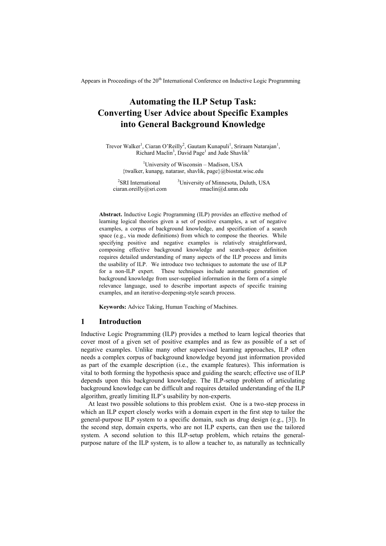Appears in Proceedings of the  $20<sup>th</sup>$  International Conference on Inductive Logic Programming

# **Automating the ILP Setup Task: Converting User Advice about Specific Examples into General Background Knowledge**

Trevor Walker<sup>1</sup>, Ciaran O'Reilly<sup>2</sup>, Gautam Kunapuli<sup>1</sup>, Sriraam Natarajan<sup>1</sup>, Richard Maclin<sup>3</sup>, David Page<sup>1</sup> and Jude Shavlik<sup>1</sup>

<sup>1</sup>University of Wisconsin – Madison, USA  ${\text{twalker, kunagg, natarasr, shavlik, page}}@biostat.wisc.edu$ 

<sup>2</sup>SRI International <sup>3</sup>University of Minnesota, Duluth, USA<br>maclin@d.umn.edu ciaran.oreilly@sri.com

**Abstract.** Inductive Logic Programming (ILP) provides an effective method of learning logical theories given a set of positive examples, a set of negative examples, a corpus of background knowledge, and specification of a search space (e.g., via mode definitions) from which to compose the theories. While specifying positive and negative examples is relatively straightforward, composing effective background knowledge and search-space definition requires detailed understanding of many aspects of the ILP process and limits the usability of ILP. We introduce two techniques to automate the use of ILP for a non-ILP expert. These techniques include automatic generation of background knowledge from user-supplied information in the form of a simple relevance language, used to describe important aspects of specific training examples, and an iterative-deepening-style search process.

**Keywords:** Advice Taking, Human Teaching of Machines.

# **1 Introduction**

Inductive Logic Programming (ILP) provides a method to learn logical theories that cover most of a given set of positive examples and as few as possible of a set of negative examples. Unlike many other supervised learning approaches, ILP often needs a complex corpus of background knowledge beyond just information provided as part of the example description (i.e., the example features). This information is vital to both forming the hypothesis space and guiding the search; effective use of ILP depends upon this background knowledge. The ILP-setup problem of articulating background knowledge can be difficult and requires detailed understanding of the ILP algorithm, greatly limiting ILP"s usability by non-experts.

At least two possible solutions to this problem exist. One is a two-step process in which an ILP expert closely works with a domain expert in the first step to tailor the general-purpose ILP system to a specific domain, such as drug design (e.g., [3]). In the second step, domain experts, who are not ILP experts, can then use the tailored system. A second solution to this ILP-setup problem, which retains the generalpurpose nature of the ILP system, is to allow a teacher to, as naturally as technically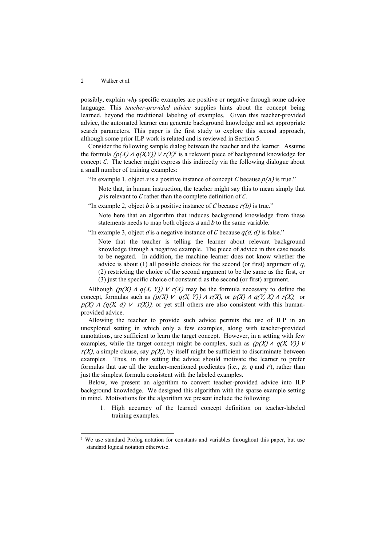-

possibly, explain *why* specific examples are positive or negative through some advice language. This *teacher-provided advice* supplies hints about the concept being learned, beyond the traditional labeling of examples. Given this teacher-provided advice, the automated learner can generate background knowledge and set appropriate search parameters. This paper is the first study to explore this second approach, although some prior ILP work is related and is reviewed in Section 5.

Consider the following sample dialog between the teacher and the learner. Assume the formula  $(p(X) \land q(X, Y)) \lor r(X)$ <sup>*i*</sup> is a relevant piece of background knowledge for concept  $C$ . The teacher might express this indirectly via the following dialogue about a small number of training examples:

"In example 1, object *a* is a positive instance of concept *C* because  $p(a)$  is true."

Note that, in human instruction, the teacher might say this to mean simply that  $p$  is relevant to  $C$  rather than the complete definition of  $C$ .

"In example 2, object *b* is a positive instance of *C* because  $r(b)$  is true."

Note here that an algorithm that induces background knowledge from these statements needs to map both objects  $a$  and  $b$  to the same variable.

"In example 3, object d is a negative instance of C because  $q(d, d)$  is false."

Note that the teacher is telling the learner about relevant background knowledge through a negative example. The piece of advice in this case needs to be negated. In addition, the machine learner does not know whether the advice is about (1) all possible choices for the second (or first) argument of  $q$ , (2) restricting the choice of the second argument to be the same as the first, or (3) just the specific choice of constant d as the second (or first) argument.

Although  $(p(X) \land q(X, Y)) \lor r(X)$  may be the formula necessary to define the concept, formulas such as  $(p(X) \vee q(X, Y)) \wedge r(X)$ , or  $p(X) \wedge q(Y, X) \wedge r(X)$ , or  $p(X) \land (q(X, d) \lor r(X))$ , or yet still others are also consistent with this humanprovided advice.

Allowing the teacher to provide such advice permits the use of ILP in an unexplored setting in which only a few examples, along with teacher-provided annotations, are sufficient to learn the target concept. However, in a setting with few examples, while the target concept might be complex, such as  $(p(X) \land q(X, Y))$   $\vee$  $r(X)$ , a simple clause, say  $p(X)$ , by itself might be sufficient to discriminate between examples. Thus, in this setting the advice should motivate the learner to prefer formulas that use all the teacher-mentioned predicates (i.e.,  $p$ ,  $q$  and  $r$ ), rather than just the simplest formula consistent with the labeled examples.

Below, we present an algorithm to convert teacher-provided advice into ILP background knowledge. We designed this algorithm with the sparse example setting in mind. Motivations for the algorithm we present include the following:

1. High accuracy of the learned concept definition on teacher-labeled training examples.

<sup>&</sup>lt;sup>1</sup> We use standard Prolog notation for constants and variables throughout this paper, but use standard logical notation otherwise.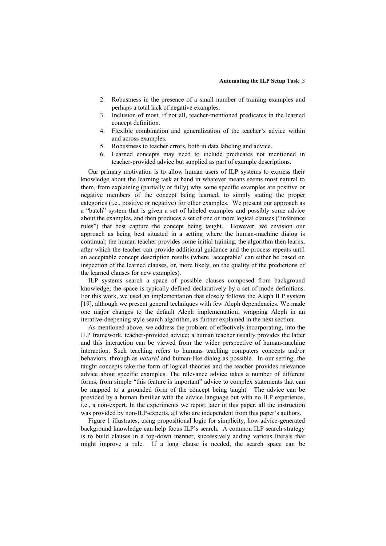- 2. Robustness in the presence of a small number of training examples and perhaps a total lack of negative examples.
- 3. Inclusion of most, if not all, teacher-mentioned predicates in the learned concept definition.
- 4. Flexible combination and generalization of the teacher"s advice within and across examples.
- 5. Robustness to teacher errors, both in data labeling and advice.
- 6. Learned concepts may need to include predicates not mentioned in teacher-provided advice but supplied as part of example descriptions.

Our primary motivation is to allow human users of ILP systems to express their knowledge about the learning task at hand in whatever means seems most natural to them, from explaining (partially or fully) why some specific examples are positive or negative members of the concept being learned, to simply stating the proper categories (i.e., positive or negative) for other examples. We present our approach as a "batch" system that is given a set of labeled examples and possibly some advice about the examples, and then produces a set of one or more logical clauses ("inference rules") that best capture the concept being taught. However, we envision our approach as being best situated in a setting where the human-machine dialog is continual; the human teacher provides some initial training, the algorithm then learns, after which the teacher can provide additional guidance and the process repeats until an acceptable concept description results (where "acceptable" can either be based on inspection of the learned clauses, or, more likely, on the quality of the predictions of the learned clauses for new examples).

ILP systems search a space of possible clauses composed from background knowledge; the space is typically defined declaratively by a set of mode definitions. For this work, we used an implementation that closely follows the Aleph ILP system [19], although we present general techniques with few Aleph dependencies. We made one major changes to the default Aleph implementation, wrapping Aleph in an iterative-deepening style search algorithm, as further explained in the next section.

As mentioned above, we address the problem of effectively incorporating, into the ILP framework, teacher-provided advice; a human teacher usually provides the latter and this interaction can be viewed from the wider perspective of human-machine interaction. Such teaching refers to humans teaching computers concepts and/or behaviors, through as *natural* and human-like dialog as possible. In our setting, the taught concepts take the form of logical theories and the teacher provides relevance advice about specific examples. The relevance advice takes a number of different forms, from simple "this feature is important" advice to complex statements that can be mapped to a grounded form of the concept being taught. The advice can be provided by a human familiar with the advice language but with no ILP experience, i.e., a non-expert. In the experiments we report later in this paper, all the instruction was provided by non-ILP-experts, all who are independent from this paper's authors.

[Figure 1](#page-3-0) illustrates, using propositional logic for simplicity, how advice-generated background knowledge can help focus ILP"s search. A common ILP search strategy is to build clauses in a top-down manner, successively adding various literals that might improve a rule. If a long clause is needed, the search space can be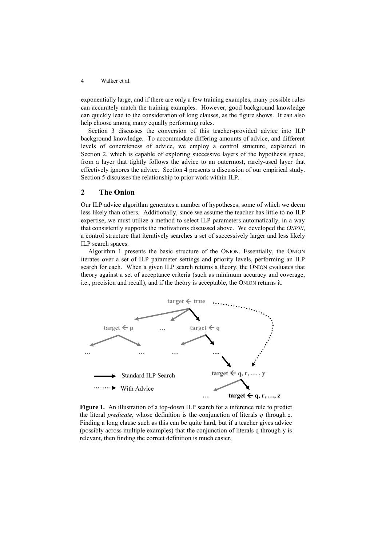exponentially large, and if there are only a few training examples, many possible rules can accurately match the training examples. However, good background knowledge can quickly lead to the consideration of long clauses, as the figure shows. It can also help choose among many equally performing rules.

Section 3 discusses the conversion of this teacher-provided advice into ILP background knowledge. To accommodate differing amounts of advice, and different levels of concreteness of advice, we employ a control structure, explained in Section 2, which is capable of exploring successive layers of the hypothesis space, from a layer that tightly follows the advice to an outermost, rarely-used layer that effectively ignores the advice. Section 4 presents a discussion of our empirical study. Section 5 discusses the relationship to prior work within ILP.

# **2 The Onion**

Our ILP advice algorithm generates a number of hypotheses, some of which we deem less likely than others. Additionally, since we assume the teacher has little to no ILP expertise, we must utilize a method to select ILP parameters automatically, in a way that consistently supports the motivations discussed above. We developed the *ONION*, a control structure that iteratively searches a set of successively larger and less likely ILP search spaces.

Algorithm 1 presents the basic structure of the ONION. Essentially, the ONION iterates over a set of ILP parameter settings and priority levels, performing an ILP search for each. When a given ILP search returns a theory, the ONION evaluates that theory against a set of acceptance criteria (such as minimum accuracy and coverage, i.e., precision and recall), and if the theory is acceptable, the ONION returns it.



<span id="page-3-0"></span>**Figure 1.** An illustration of a top-down ILP search for a inference rule to predict the literal *predicate*, whose definition is the conjunction of literals *q* through *z*. Finding a long clause such as this can be quite hard, but if a teacher gives advice (possibly across multiple examples) that the conjunction of literals q through y is relevant, then finding the correct definition is much easier.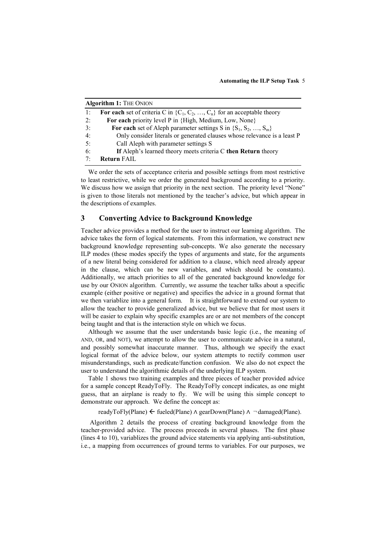| <b>Algorithm 1: THE ONION</b> |                                                                              |  |  |  |  |
|-------------------------------|------------------------------------------------------------------------------|--|--|--|--|
| 1:                            | For each set of criteria C in $\{C_1, C_2, , C_n\}$ for an acceptable theory |  |  |  |  |
| 2:                            | For each priority level P in {High, Medium, Low, None}                       |  |  |  |  |
| 3:                            | For each set of Aleph parameter settings S in $\{S_1, S_2, , S_m\}$          |  |  |  |  |
| 4:                            | Only consider literals or generated clauses whose relevance is a least P     |  |  |  |  |
| 5:                            | Call Aleph with parameter settings S                                         |  |  |  |  |
| 6:                            | If Aleph's learned theory meets criteria C then Return theory                |  |  |  |  |
| $7\cdot$                      | <b>Return FAIL</b>                                                           |  |  |  |  |

We order the sets of acceptance criteria and possible settings from most restrictive to least restrictive, while we order the generated background according to a priority. We discuss how we assign that priority in the next section. The priority level "None" is given to those literals not mentioned by the teacher"s advice, but which appear in the descriptions of examples.

# **3 Converting Advice to Background Knowledge**

Teacher advice provides a method for the user to instruct our learning algorithm. The advice takes the form of logical statements. From this information, we construct new background knowledge representing sub-concepts. We also generate the necessary ILP modes (these modes specify the types of arguments and state, for the arguments of a new literal being considered for addition to a clause, which need already appear in the clause, which can be new variables, and which should be constants). Additionally, we attach priorities to all of the generated background knowledge for use by our ONION algorithm. Currently, we assume the teacher talks about a specific example (either positive or negative) and specifies the advice in a ground format that we then variablize into a general form. It is straightforward to extend our system to allow the teacher to provide generalized advice, but we believe that for most users it will be easier to explain why specific examples are or are not members of the concept being taught and that is the interaction style on which we focus.

Although we assume that the user understands basic logic (i.e., the meaning of AND, OR, and NOT), we attempt to allow the user to communicate advice in a natural, and possibly somewhat inaccurate manner. Thus, although we specify the exact logical format of the advice below, our system attempts to rectify common user misunderstandings, such as predicate/function confusion. We also do not expect the user to understand the algorithmic details of the underlying ILP system.

[Table 1](#page-5-0) shows two training examples and three pieces of teacher provided advice for a sample concept ReadyToFly. The ReadyToFly concept indicates, as one might guess, that an airplane is ready to fly. We will be using this simple concept to demonstrate our approach. We define the concept as:

readyToFly(Plane)  $\leftarrow$  fueled(Plane)  $\land$  gearDown(Plane)  $\land \neg$ damaged(Plane).

Algorithm 2 details the process of creating background knowledge from the teacher-provided advice. The process proceeds in several phases. The first phase (lines 4 to 10), variablizes the ground advice statements via applying anti-substitution, i.e., a mapping from occurrences of ground terms to variables. For our purposes, we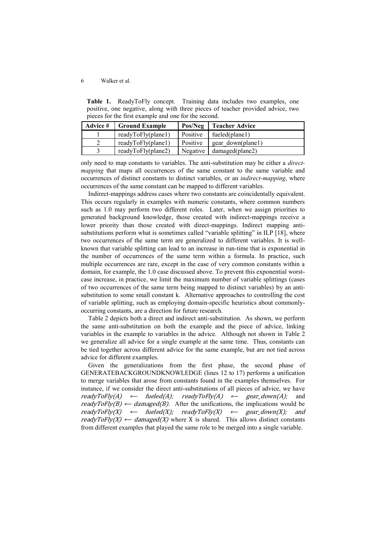<span id="page-5-0"></span>**Table 1.** ReadyToFly concept. Training data includes two examples, one positive, one negative, along with three pieces of teacher provided advice, two pieces for the first example and one for the second.

| Advice # | <b>Ground Example</b> | Pos/Neg  | <b>Teacher Advice</b> |
|----------|-----------------------|----------|-----------------------|
|          | readyToFly(plane1)    | Positive | fueled(plane1)        |
|          | readyToFly(plane1)    | Positive | gear down(plane1)     |
|          | readyToFly(plane2)    | Negative | damaged(plane2)       |

only need to map constants to variables. The anti-substitution may be either a *directmapping* that maps all occurrences of the same constant to the same variable and occurrences of distinct constants to distinct variables, or an *indirect-mapping*, where occurrences of the same constant can be mapped to different variables.

Indirect-mappings address cases where two constants are coincidentally equivalent. This occurs regularly in examples with numeric constants, where common numbers such as 1.0 may perform two different roles. Later, when we assign priorities to generated background knowledge, those created with indirect-mappings receive a lower priority than those created with direct-mappings. Indirect mapping antisubstitutions perform what is sometimes called "variable splitting" in ILP [18], where two occurrences of the same term are generalized to different variables. It is wellknown that variable splitting can lead to an increase in run-time that is exponential in the number of occurrences of the same term within a formula. In practice, such multiple occurrences are rare, except in the case of very common constants within a domain, for example, the 1.0 case discussed above. To prevent this exponential worstcase increase, in practice, we limit the maximum number of variable splittings (cases of two occurrences of the same term being mapped to distinct variables) by an antisubstitution to some small constant k. Alternative approaches to controlling the cost of variable splitting, such as employing domain-specific heuristics about commonlyoccurring constants, are a direction for future research.

[Table 2](#page-7-0) depicts both a direct and indirect anti-substitution. As shown, we perform the same anti-substitution on both the example and the piece of advice, linking variables in the example to variables in the advice. Although not shown in [Table 2](#page-7-0) we generalize all advice for a single example at the same time. Thus, constants can be tied together across different advice for the same example, but are not tied across advice for different examples.

Given the generalizations from the first phase, the second phase of GENERATEBACKGROUNDKNOWLEDGE (lines 12 to 17) performs a unification to merge variables that arose from constants found in the examples themselves. For instance, if we consider the direct anti-substitutions of all pieces of advice, we have  $readyToFly(A) \leftarrow \text{fueled}(A); \text{readyToFly}(A) \leftarrow \text{gear}_1 \text{down}(A); \text{and}$ readyToFly(B)  $\leftarrow$  damaged(B). After the unifications, the implications would be  $readyToFly(X) \leftarrow \text{fueled}(X); \text{readyToFly}(X) \leftarrow \text{ gear\_down}(X); \text{and}$ readyToFly(X)  $\leftarrow$  damaged(X) where X is shared. This allows distinct constants from different examples that played the same role to be merged into a single variable.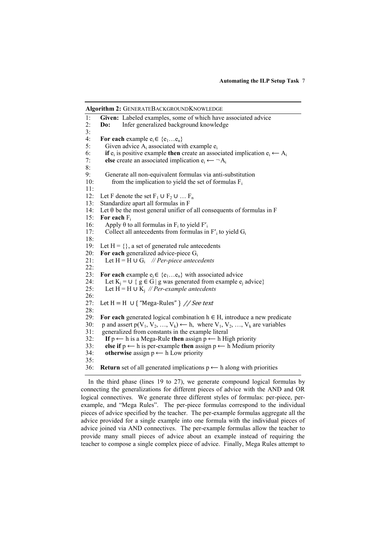**Algorithm 2:** GENERATEBACKGROUNDKNOWLEDGE 1: **Given:** Labeled examples, some of which have associated advice<br>2: **Do:** Infer generalized background knowledge **Do:** Infer generalized background knowledge  $\frac{3}{4}$ 4: **For each** example  $e_i \in \{e_1...e_n\}$ <br>5: Given advice A<sub>i</sub> associated wi Given advice  $A_i$  associated with example  $e_i$ 6: **if**  $e_i$  is positive example **then** create an associated implication  $e_i \leftarrow A_i$ 7: **else** create an associated implication  $e_i \leftarrow \neg A_i$ 8: 9: Generate all non-equivalent formulas via anti-substitution 10: from the implication to yield the set of formulas  $F_i$ 11: 12: Let F denote the set  $F_1 \cup F_2 \cup ... F_n$ 13: Standardize apart all formulas in F 14: Let  $\theta$  be the most general unifier of all consequents of formulas in F 15: **For each**  $F_i$ <br>16: **Apply**  $\theta$  to 16: Apply θ to all formulas in  $F_i$  to yield F'<sub>i</sub> 17: Collect all antecedents from formulas in  $F'$ <sub>i</sub> to yield  $G_i$ 18: 19: Let  $H = \{\}$ , a set of generated rule antecedents 20: **For each** generalized advice-piece G<sup>i</sup> 21: Let  $H = H \cup G_i$  // Per-piece antecedents 22: 23: **For each** example  $e_i \in \{e_1...e_n\}$  with associated advice 24: Let  $K_i = U \{ g \in \hat{G} | g$  was generated from example  $e_i$  advice} 25: Let  $H = H ∪ K<sub>j</sub>$  // Per-example antecdents 26: 27: Let  $H = H \cup \{$  "Mega-Rules" } // See text  $^{28:}_{29:}$ For each generated logical combination  $h \in H$ , introduce a new predicate 30: p and assert  $p(V_1, V_2, ..., V_k) \leftarrow h$ , where  $V_1, V_2, ..., V_k$  are variables 31: generalized from constants in the example literal 32: If  $p \leftarrow h$  is a Mega-Rule **then** assign  $p \leftarrow h$  High priority 33: **else if**  $p \leftarrow h$  is per-example **then** assign  $p \leftarrow h$  Medium priority 34: **otherwise** assign  $p \leftarrow h$  Low priority 35: 36: **Return** set of all generated implications  $p \leftarrow h$  along with priorities

In the third phase (lines 19 to 27), we generate compound logical formulas by connecting the generalizations for different pieces of advice with the AND and OR logical connectives. We generate three different styles of formulas: per-piece, perexample, and "Mega Rules". The per-piece formulas correspond to the individual pieces of advice specified by the teacher. The per-example formulas aggregate all the advice provided for a single example into one formula with the individual pieces of advice joined via AND connectives. The per-example formulas allow the teacher to provide many small pieces of advice about an example instead of requiring the teacher to compose a single complex piece of advice. Finally, Mega Rules attempt to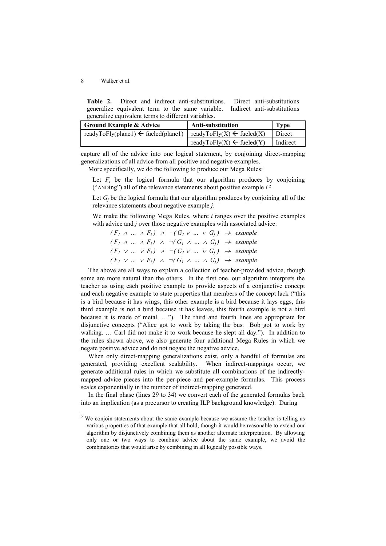-

<span id="page-7-0"></span>**Table 2.** Direct and indirect anti-substitutions. Direct anti-substitutions generalize equivalent term to the same variable. Indirect anti-substitutions generalize equivalent terms to different variables.

| <b>Ground Example &amp; Advice</b>                                                    | Anti-substitution                    | <b>Type</b> |
|---------------------------------------------------------------------------------------|--------------------------------------|-------------|
| readyToFly(plane1) $\leftarrow$ fueled(plane1)   readyToFly(X) $\leftarrow$ fueled(X) |                                      | Direct      |
|                                                                                       | readyToFly(X) $\leftarrow$ fueled(Y) | Indirect    |

capture all of the advice into one logical statement, by conjoining direct-mapping generalizations of all advice from all positive and negative examples.

More specifically, we do the following to produce our Mega Rules:

Let  $F_i$  be the logical formula that our algorithm produces by conjoining ("ANDing") all of the relevance statements about positive example *i.* 2

Let  $G_i$  be the logical formula that our algorithm produces by conjoining all of the relevance statements about negative example *j*.

We make the following Mega Rules, where *i* ranges over the positive examples with advice and *j* over those negative examples with associated advice:

 $(F_1 \land ... \land F_i) \land \neg(G_i \lor ... \lor G_i) \rightarrow example$  $(F_1 \land ... \land F_i) \land \neg(G_1 \land ... \land G_i) \rightarrow example$  $(F_1 \vee ... \vee F_i) \wedge \neg (G_1 \vee ... \vee G_j) \rightarrow example$  $(F_i \vee \ldots \vee F_i) \wedge \neg(G_i \wedge \ldots \wedge G_i) \rightarrow \text{example}$ 

The above are all ways to explain a collection of teacher-provided advice, though some are more natural than the others. In the first one, our algorithm interprets the teacher as using each positive example to provide aspects of a conjunctive concept and each negative example to state properties that members of the concept lack ("this is a bird because it has wings, this other example is a bird because it lays eggs, this third example is not a bird because it has leaves, this fourth example is not a bird because it is made of metal. …"). The third and fourth lines are appropriate for disjunctive concepts ("Alice got to work by taking the bus. Bob got to work by walking. … Carl did not make it to work because he slept all day."). In addition to the rules shown above, we also generate four additional Mega Rules in which we negate positive advice and do not negate the negative advice.

When only direct-mapping generalizations exist, only a handful of formulas are generated, providing excellent scalability. When indirect-mappings occur, we generate additional rules in which we substitute all combinations of the indirectlymapped advice pieces into the per-piece and per-example formulas. This process scales exponentially in the number of indirect-mapping generated.

In the final phase (lines 29 to 34) we convert each of the generated formulas back into an implication (as a precursor to creating ILP background knowledge). During

<sup>&</sup>lt;sup>2</sup> We conjoin statements about the same example because we assume the teacher is telling us various properties of that example that all hold, though it would be reasonable to extend our algorithm by disjunctively combining them as another alternate interpretation. By allowing only one or two ways to combine advice about the same example, we avoid the combinatorics that would arise by combining in all logically possible ways.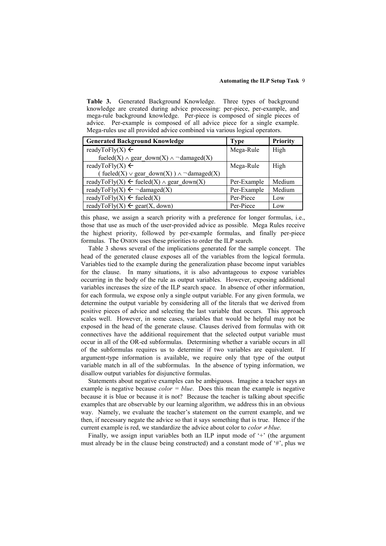<span id="page-8-0"></span>**Table 3.** Generated Background Knowledge. Three types of background knowledge are created during advice processing: per-piece, per-example, and mega-rule background knowledge. Per-piece is composed of single pieces of advice. Per-example is composed of all advice piece for a single example. Mega-rules use all provided advice combined via various logical operators.

| <b>Generated Background Knowledge</b>                     | <b>Type</b> | <b>Priority</b> |
|-----------------------------------------------------------|-------------|-----------------|
| readyToFly(X) $\leftarrow$                                | Mega-Rule   | High            |
| fueled(X) $\land$ gear down(X) $\land \neg$ damaged(X)    |             |                 |
| readyToFly(X) $\leftarrow$                                | Mega-Rule   | High            |
| fueled(X) $\vee$ gear_down(X)) $\wedge \neg$ damaged(X)   |             |                 |
| readyToFly(X) $\leftarrow$ fueled(X) $\land$ gear down(X) | Per-Example | Medium          |
| readyToFly(X) $\leftarrow \neg$ damaged(X)                | Per-Example | Medium          |
| readyToFly(X) $\leftarrow$ fueled(X)                      | Per-Piece   | Low             |
| readyToFly(X) $\leftarrow$ gear(X, down)                  | Per-Piece   | Low             |

this phase, we assign a search priority with a preference for longer formulas, i.e., those that use as much of the user-provided advice as possible. Mega Rules receive the highest priority, followed by per-example formulas, and finally per-piece formulas. The ONION uses these priorities to order the ILP search.

[Table 3](#page-8-0) shows several of the implications generated for the sample concept. The head of the generated clause exposes all of the variables from the logical formula. Variables tied to the example during the generalization phase become input variables for the clause. In many situations, it is also advantageous to expose variables occurring in the body of the rule as output variables. However, exposing additional variables increases the size of the ILP search space. In absence of other information, for each formula, we expose only a single output variable. For any given formula, we determine the output variable by considering all of the literals that we derived from positive pieces of advice and selecting the last variable that occurs. This approach scales well. However, in some cases, variables that would be helpful may not be exposed in the head of the generate clause. Clauses derived from formulas with OR connectives have the additional requirement that the selected output variable must occur in all of the OR-ed subformulas. Determining whether a variable occurs in all of the subformulas requires us to determine if two variables are equivalent. If argument-type information is available, we require only that type of the output variable match in all of the subformulas. In the absence of typing information, we disallow output variables for disjunctive formulas.

Statements about negative examples can be ambiguous. Imagine a teacher says an example is negative because *color = blue*. Does this mean the example is negative because it is blue or because it is not? Because the teacher is talking about specific examples that are observable by our learning algorithm, we address this in an obvious way. Namely, we evaluate the teacher's statement on the current example, and we then, if necessary negate the advice so that it says something that is true. Hence if the current example is red, we standardize the advice about color to *color*  $\neq$ *blue*.

Finally, we assign input variables both an ILP input mode of '+' (the argument must already be in the clause being constructed) and a constant mode of "#", plus we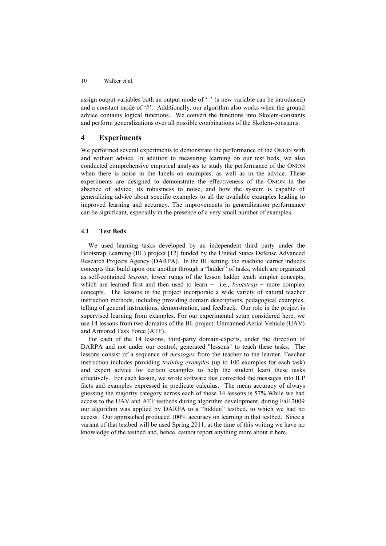assign output variables both an output mode of  $-$  (a new variable can be introduced) and a constant mode of  $\sharp$ . Additionally, our algorithm also works when the ground advice contains logical functions. We convert the functions into Skolem-constants and perform generalizations over all possible combinations of the Skolem-constants.

## **4 Experiments**

We performed several experiments to demonstrate the performance of the ONION with and without advice. In addition to measuring learning on our test beds, we also conducted comprehensive empirical analyses to study the performance of the ONION when there is noise in the labels on examples, as well as in the advice. These experiments are designed to demonstrate the effectiveness of the ONION in the absence of advice, its robustness to noise, and how the system is capable of generalizing advice about specific examples to all the available examples leading to improved learning and accuracy. The improvements in generalization performance can be significant, especially in the presence of a very small number of examples.

## **4.1 Test Beds**

We used learning tasks developed by an independent third party under the Bootstrap Learning (BL) project [12] funded by the United States Defense Advanced Research Projects Agency (DARPA). In the BL setting, the machine learner induces concepts that build upon one another through a "ladder" of tasks, which are organized as self-contained *lessons*; lower rungs of the lesson ladder teach simpler concepts, which are learned first and then used to learn − i.e., *bootstrap* − more complex concepts. The lessons in the project incorporate a wide variety of natural teacher instruction methods, including providing domain descriptions, pedagogical examples, telling of general instructions, demonstration, and feedback. Our role in the project is supervised learning from examples. For our experimental setup considered here, we use 14 lessons from two domains of the BL project: Unmanned Aerial Vehicle (UAV) and Armored Task Force (ATF).

For each of the 14 lessons, third-party domain-experts, under the direction of DARPA and not under our control, generated "lessons" to teach these tasks. The lessons consist of a sequence of *messages* from the teacher to the learner. Teacher instruction includes providing *training examples* (up to 100 examples for each task) and expert advice for certain examples to help the student learn these tasks effectively. For each lesson, we wrote software that converted the messages into ILP facts and examples expressed in predicate calculus. The mean accuracy of always guessing the majority category across each of these 14 lessons is 57%.While we had access to the UAV and ATF testbeds during algorithm development, during Fall 2009 our algorithm was applied by DARPA to a "hidden" testbed, to which we had no access. Our approached produced 100% accuracy on learning in that testbed. Since a variant of that testbed will be used Spring 2011, at the time of this writing we have no knowledge of the testbed and, hence, cannot report anything more about it here.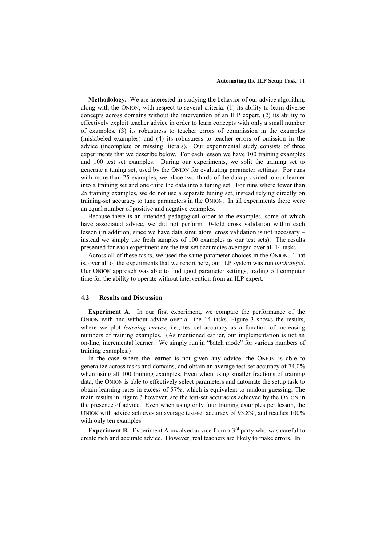**Methodology.** We are interested in studying the behavior of our advice algorithm, along with the ONION, with respect to several criteria: (1) its ability to learn diverse concepts across domains without the intervention of an ILP expert, (2) its ability to effectively exploit teacher advice in order to learn concepts with only a small number of examples, (3) its robustness to teacher errors of commission in the examples (mislabeled examples) and (4) its robustness to teacher errors of omission in the advice (incomplete or missing literals). Our experimental study consists of three experiments that we describe below. For each lesson we have 100 training examples and 100 test set examples. During our experiments, we split the training set to generate a tuning set, used by the ONION for evaluating parameter settings. For runs with more than 25 examples, we place two-thirds of the data provided to our learner into a training set and one-third the data into a tuning set. For runs where fewer than 25 training examples, we do not use a separate tuning set, instead relying directly on training-set accuracy to tune parameters in the ONION. In all experiments there were an equal number of positive and negative examples.

Because there is an intended pedagogical order to the examples, some of which have associated advice, we did not perform 10-fold cross validation within each lesson (in addition, since we have data simulators, cross validation is not necessary – instead we simply use fresh samples of 100 examples as our test sets). The results presented for each experiment are the test-set accuracies averaged over all 14 tasks.

Across all of these tasks, we used the same parameter choices in the ONION. That is, over all of the experiments that we report here, our ILP system was run *unchanged*. Our ONION approach was able to find good parameter settings, trading off computer time for the ability to operate without intervention from an ILP expert.

#### **4.2 Results and Discussion**

**Experiment A.** In our first experiment, we compare the performance of the ONION with and without advice over all the 14 tasks. [Figure 3](#page-11-0) shows the results, where we plot *learning curves*, i.e., test-set accuracy as a function of increasing numbers of training examples. (As mentioned earlier, our implementation is not an on-line, incremental learner. We simply run in "batch mode" for various numbers of training examples.)

In the case where the learner is not given any advice, the ONION is able to generalize across tasks and domains, and obtain an average test-set accuracy of 74.0% when using all 100 training examples. Even when using smaller fractions of training data, the ONION is able to effectively select parameters and automate the setup task to obtain learning rates in excess of 57%, which is equivalent to random guessing. The main results in [Figure 3](#page-11-0) however, are the test-set accuracies achieved by the ONION in the presence of advice. Even when using only four training examples per lesson, the ONION with advice achieves an average test-set accuracy of 93.8%, and reaches 100% with only ten examples.

**Experiment B.** Experiment A involved advice from a  $3<sup>rd</sup>$  party who was careful to create rich and accurate advice. However, real teachers are likely to make errors. In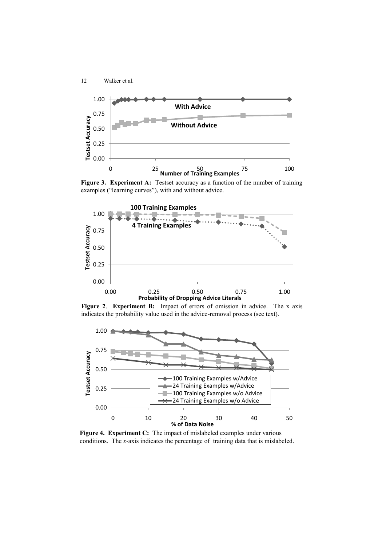

<span id="page-11-0"></span>Figure 3. Experiment A: Testset accuracy as a function of the number of training examples ("learning curves"), with and without advice.



<span id="page-11-1"></span>**Figure 2**. **Experiment B:** Impact of errors of omission in advice. The x axis indicates the probability value used in the advice-removal process (see text).



<span id="page-11-2"></span>**Figure 4. Experiment C:** The impact of mislabeled examples under various conditions. The *x*-axis indicates the percentage of training data that is mislabeled.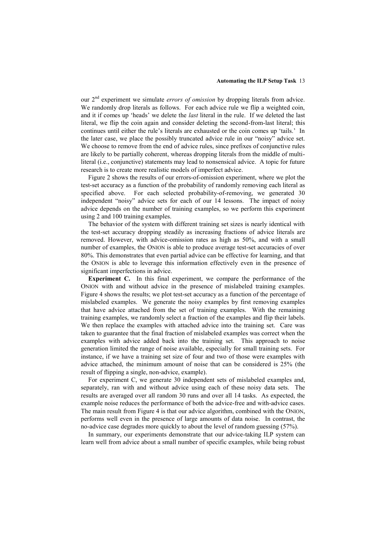our 2nd experiment we simulate *errors of omission* by dropping literals from advice. We randomly drop literals as follows. For each advice rule we flip a weighted coin, and it if comes up "heads" we delete the *last* literal in the rule. If we deleted the last literal, we flip the coin again and consider deleting the second-from-last literal; this continues until either the rule"s literals are exhausted or the coin comes up "tails." In the later case, we place the possibly truncated advice rule in our "noisy" advice set. We choose to remove from the end of advice rules, since prefixes of conjunctive rules are likely to be partially coherent, whereas dropping literals from the middle of multiliteral (i.e., conjunctive) statements may lead to nonsensical advice. A topic for future research is to create more realistic models of imperfect advice.

[Figure 2](#page-11-1) shows the results of our errors-of-omission experiment, where we plot the test-set accuracy as a function of the probability of randomly removing each literal as specified above. For each selected probability-of-removing, we generated 30 independent "noisy" advice sets for each of our 14 lessons. The impact of noisy advice depends on the number of training examples, so we perform this experiment using 2 and 100 training examples.

The behavior of the system with different training set sizes is nearly identical with the test-set accuracy dropping steadily as increasing fractions of advice literals are removed. However, with advice-omission rates as high as 50%, and with a small number of examples, the ONION is able to produce average test-set accuracies of over 80%. This demonstrates that even partial advice can be effective for learning, and that the ONION is able to leverage this information effectively even in the presence of significant imperfections in advice.

**Experiment C.** In this final experiment, we compare the performance of the ONION with and without advice in the presence of mislabeled training examples. [Figure 4](#page-11-2) shows the results; we plot test-set accuracy as a function of the percentage of mislabeled examples. We generate the noisy examples by first removing examples that have advice attached from the set of training examples. With the remaining training examples, we randomly select a fraction of the examples and flip their labels. We then replace the examples with attached advice into the training set. Care was taken to guarantee that the final fraction of mislabeled examples was correct when the examples with advice added back into the training set. This approach to noise generation limited the range of noise available, especially for small training sets. For instance, if we have a training set size of four and two of those were examples with advice attached, the minimum amount of noise that can be considered is 25% (the result of flipping a single, non-advice, example).

For experiment C, we generate 30 independent sets of mislabeled examples and, separately, ran with and without advice using each of these noisy data sets. The results are averaged over all random 30 runs and over all 14 tasks. As expected, the example noise reduces the performance of both the advice-free and with-advice cases. The main result from [Figure 4](#page-11-2) is that our advice algorithm, combined with the ONION, performs well even in the presence of large amounts of data noise. In contrast, the no-advice case degrades more quickly to about the level of random guessing (57%).

In summary, our experiments demonstrate that our advice-taking ILP system can learn well from advice about a small number of specific examples, while being robust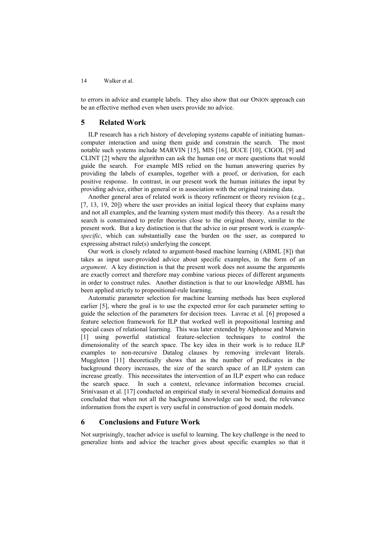to errors in advice and example labels. They also show that our ONION approach can be an effective method even when users provide no advice.

## **5 Related Work**

ILP research has a rich history of developing systems capable of initiating humancomputer interaction and using them guide and constrain the search. The most notable such systems include MARVIN [15], MIS [16], DUCE [10], CIGOL [9] and CLINT [2] where the algorithm can ask the human one or more questions that would guide the search. For example MIS relied on the human answering queries by providing the labels of examples, together with a proof, or derivation, for each positive response. In contrast, in our present work the human initiates the input by providing advice, either in general or in association with the original training data.

Another general area of related work is theory refinement or theory revision (e.g., [7, 13, 19, 20]) where the user provides an initial logical theory that explains many and not all examples, and the learning system must modify this theory. As a result the search is constrained to prefer theories close to the original theory, similar to the present work. But a key distinction is that the advice in our present work is *examplespecific*, which can substantially ease the burden on the user, as compared to expressing abstract rule(s) underlying the concept.

Our work is closely related to argument-based machine learning (ABML [8]) that takes as input user-provided advice about specific examples, in the form of an *argument*. A key distinction is that the present work does not assume the arguments are exactly correct and therefore may combine various pieces of different arguments in order to construct rules. Another distinction is that to our knowledge ABML has been applied strictly to propositional-rule learning.

Automatic parameter selection for machine learning methods has been explored earlier [5], where the goal is to use the expected error for each parameter setting to guide the selection of the parameters for decision trees. Lavrac et al. [6] proposed a feature selection framework for ILP that worked well in propositional learning and special cases of relational learning. This was later extended by Alphonse and Matwin [1] using powerful statistical feature-selection techniques to control the dimensionality of the search space. The key idea in their work is to reduce ILP examples to non-recursive Datalog clauses by removing irrelevant literals. Muggleton [11] theoretically shows that as the number of predicates in the background theory increases, the size of the search space of an ILP system can increase greatly. This necessitates the intervention of an ILP expert who can reduce the search space. In such a context, relevance information becomes crucial. Srinivasan et al. [17] conducted an empirical study in several biomedical domains and concluded that when not all the background knowledge can be used, the relevance information from the expert is very useful in construction of good domain models.

## **6 Conclusions and Future Work**

Not surprisingly, teacher advice is useful to learning. The key challenge is the need to generalize hints and advice the teacher gives about specific examples so that it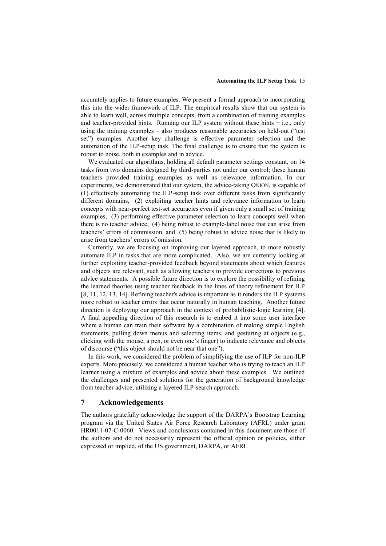accurately applies to future examples. We present a formal approach to incorporating this into the wider framework of ILP. The empirical results show that our system is able to learn well, across multiple concepts, from a combination of training examples and teacher-provided hints. Running our ILP system without these hints − i.e., only using the training examples – also produces reasonable accuracies on held-out ("test set") examples. Another key challenge is effective parameter selection and the automation of the ILP-setup task. The final challenge is to ensure that the system is robust to noise, both in examples and in advice.

We evaluated our algorithms, holding all default parameter settings constant, on 14 tasks from two domains designed by third-parties not under our control; these human teachers provided training examples as well as relevance information. In our experiments, we demonstrated that our system, the advice-taking ONION, is capable of (1) effectively automating the ILP-setup task over different tasks from significantly different domains, (2) exploiting teacher hints and relevance information to learn concepts with near-perfect test-set accuracies even if given only a small set of training examples, (3) performing effective parameter selection to learn concepts well when there is no teacher advice, (4) being robust to example-label noise that can arise from teachers" errors of commission, and (5) being robust to advice noise that is likely to arise from teachers" errors of omission.

Currently, we are focusing on improving our layered approach, to more robustly automate ILP in tasks that are more complicated. Also, we are currently looking at further exploiting teacher-provided feedback beyond statements about which features and objects are relevant, such as allowing teachers to provide corrections to previous advice statements. A possible future direction is to explore the possibility of refining the learned theories using teacher feedback in the lines of theory refinement for ILP [8, 11, 12, 13, 14]. Refining teacher's advice is important as it renders the ILP systems more robust to teacher errors that occur naturally in human teaching. Another future direction is deploying our approach in the context of probabilistic-logic learning [4]. A final appealing direction of this research is to embed it into some user interface where a human can train their software by a combination of making simple English statements, pulling down menus and selecting items, and gesturing at objects (e.g., clicking with the mouse, a pen, or even one"s finger) to indicate relevance and objects of discourse ("this object should not be near that one").

In this work, we considered the problem of simplifying the use of ILP for non-ILP experts. More precisely, we considered a human teacher who is trying to teach an ILP learner using a mixture of examples and advice about these examples. We outlined the challenges and presented solutions for the generation of background knowledge from teacher advice, utilizing a layered ILP-search approach.

## **7 Acknowledgements**

The authors gratefully acknowledge the support of the DARPA"s Bootstrap Learning program via the United States Air Force Research Laboratory (AFRL) under grant HR0011-07-C-0060. Views and conclusions contained in this document are those of the authors and do not necessarily represent the official opinion or policies, either expressed or implied, of the US government, DARPA, or AFRL